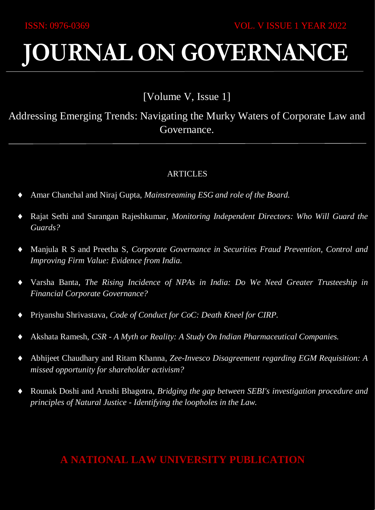# **JOURNAL ON GOVERNANCE**

# [Volume V, Issue 1]

Addressing Emerging Trends: Navigating the Murky Waters of Corporate Law and Governance.

## ARTICLES

- Amar Chanchal and Niraj Gupta, *Mainstreaming ESG and role of the Board.*
- Rajat Sethi and Sarangan Rajeshkumar, *Monitoring Independent Directors: Who Will Guard the Guards?*
- Manjula R S and Preetha S, *Corporate Governance in Securities Fraud Prevention, Control and Improving Firm Value: Evidence from India.*
- Varsha Banta, *The Rising Incidence of NPAs in India: Do We Need Greater Trusteeship in Financial Corporate Governance?*
- Priyanshu Shrivastava, *Code of Conduct for CoC: Death Kneel for CIRP.*
- Akshata Ramesh, *CSR - A Myth or Reality: A Study On Indian Pharmaceutical Companies.*
- Abhijeet Chaudhary and Ritam Khanna, *Zee-Invesco Disagreement regarding EGM Requisition: A missed opportunity for shareholder activism?*
- Rounak Doshi and Arushi Bhagotra, *Bridging the gap between SEBI's investigation procedure and principles of Natural Justice - Identifying the loopholes in the Law.*

## **A NATIONAL LAW UNIVERSITY PUBLICATION**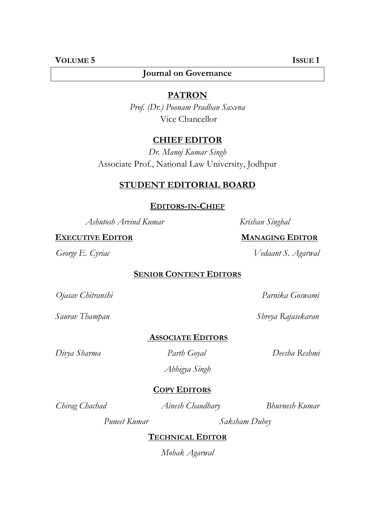## **Journal on Governance**

#### **PATRON**

*Prof. (Dr.) Poonam Pradhan Saxena* Vice Chancellor

## **CHIEF EDITOR**

*Dr. Manoj Kumar Singh* Associate Prof., National Law University, Jodhpur

## **STUDENT EDITORIAL BOARD**

#### **EDITORS-IN-CHIEF**

*Ashutosh Arvind Kumar Krishan Singhal*

#### **EXECUTIVE EDITOR MANAGING EDITOR**

#### **SENIOR CONTENT EDITORS**

*Ojasav Chitranshi Parnika Goswami*

**ASSOCIATE EDITORS**

*Abhigya Singh*

## **COPY EDITORS**

*Chirag Chachad Ainesh Chaudhary Bhuvnesh Kumar*

*Puneet Kumar Saksham Dubey*

## **TECHNICAL EDITOR**

*Mohak Agarwal*

*George E. Cyriac Vedaant S. Agarwal*

*Saurav Thampan Shreya Rajasekaran*

*Divya Sharma Parth Goyal Deesha Reshmi*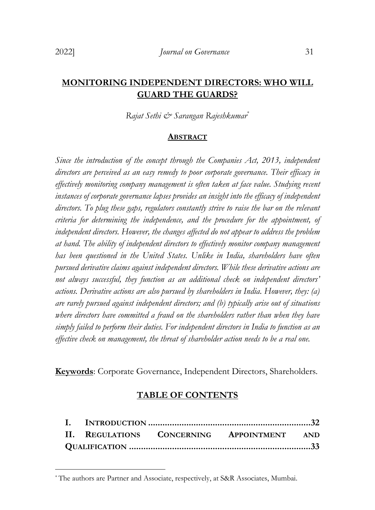## **MONITORING INDEPENDENT DIRECTORS: WHO WILL GUARD THE GUARDS?**

*Rajat Sethi & Sarangan Rajeshkumar*\*

#### **ABSTRACT**

*Since the introduction of the concept through the Companies Act, 2013, independent directors are perceived as an easy remedy to poor corporate governance. Their efficacy in effectively monitoring company management is often taken at face value. Studying recent instances of corporate governance lapses provides an insight into the efficacy of independent directors. To plug these gaps, regulators constantly strive to raise the bar on the relevant criteria for determining the independence, and the procedure for the appointment, of independent directors. However, the changes affected do not appear to address the problem at hand. The ability of independent directors to effectively monitor company management has been questioned in the United States. Unlike in India, shareholders have often pursued derivative claims against independent directors. While these derivative actions are not always successful, they function as an additional check on independent directors' actions. Derivative actions are also pursued by shareholders in India. However, they: (a) are rarely pursued against independent directors; and (b) typically arise out of situations*  where directors have committed a fraud on the shareholders rather than when they have *simply failed to perform their duties. For independent directors in India to function as an effective check on management, the threat of shareholder action needs to be a real one.*

**Keywords**: Corporate Governance, Independent Directors, Shareholders.

#### **TABLE OF CONTENTS**

|  |  | II. REGULATIONS CONCERNING APPOINTMENT AND |  |
|--|--|--------------------------------------------|--|
|  |  |                                            |  |

<sup>-</sup>\* The authors are Partner and Associate, respectively, at S&R Associates, Mumbai.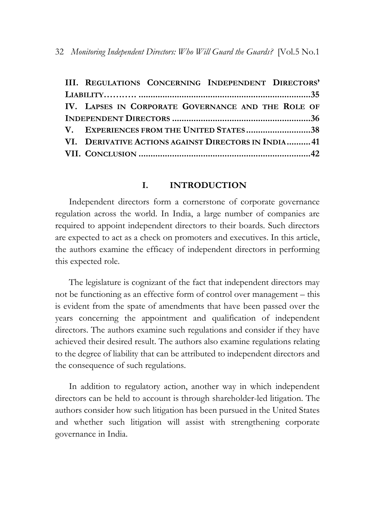|  | III. REGULATIONS CONCERNING INDEPENDENT DIRECTORS'  |  |  |  |
|--|-----------------------------------------------------|--|--|--|
|  |                                                     |  |  |  |
|  | IV. LAPSES IN CORPORATE GOVERNANCE AND THE ROLE OF  |  |  |  |
|  |                                                     |  |  |  |
|  | V. EXPERIENCES FROM THE UNITED STATES38             |  |  |  |
|  | VI. DERIVATIVE ACTIONS AGAINST DIRECTORS IN INDIA41 |  |  |  |
|  |                                                     |  |  |  |

#### **I. INTRODUCTION**

<span id="page-3-0"></span>Independent directors form a cornerstone of corporate governance regulation across the world. In India, a large number of companies are required to appoint independent directors to their boards. Such directors are expected to act as a check on promoters and executives. In this article, the authors examine the efficacy of independent directors in performing this expected role.

The legislature is cognizant of the fact that independent directors may not be functioning as an effective form of control over management – this is evident from the spate of amendments that have been passed over the years concerning the appointment and qualification of independent directors. The authors examine such regulations and consider if they have achieved their desired result. The authors also examine regulations relating to the degree of liability that can be attributed to independent directors and the consequence of such regulations.

In addition to regulatory action, another way in which independent directors can be held to account is through shareholder-led litigation. The authors consider how such litigation has been pursued in the United States and whether such litigation will assist with strengthening corporate governance in India.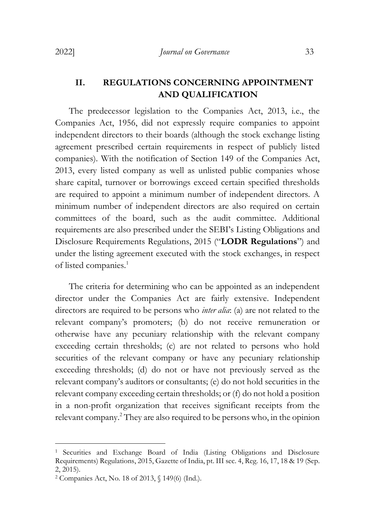## <span id="page-4-0"></span>**II. REGULATIONS CONCERNING APPOINTMENT AND QUALIFICATION**

The predecessor legislation to the Companies Act, 2013, i.e., the Companies Act, 1956, did not expressly require companies to appoint independent directors to their boards (although the stock exchange listing agreement prescribed certain requirements in respect of publicly listed companies). With the notification of Section 149 of the Companies Act, 2013, every listed company as well as unlisted public companies whose share capital, turnover or borrowings exceed certain specified thresholds are required to appoint a minimum number of independent directors. A minimum number of independent directors are also required on certain committees of the board, such as the audit committee. Additional requirements are also prescribed under the SEBI's Listing Obligations and Disclosure Requirements Regulations, 2015 ("**LODR Regulations**") and under the listing agreement executed with the stock exchanges, in respect of listed companies.<sup>1</sup>

The criteria for determining who can be appointed as an independent director under the Companies Act are fairly extensive. Independent directors are required to be persons who *inter alia*: (a) are not related to the relevant company's promoters; (b) do not receive remuneration or otherwise have any pecuniary relationship with the relevant company exceeding certain thresholds; (c) are not related to persons who hold securities of the relevant company or have any pecuniary relationship exceeding thresholds; (d) do not or have not previously served as the relevant company's auditors or consultants; (e) do not hold securities in the relevant company exceeding certain thresholds; or (f) do not hold a position in a non-profit organization that receives significant receipts from the relevant company.<sup>2</sup> They are also required to be persons who, in the opinion

<sup>&</sup>lt;sup>1</sup> Securities and Exchange Board of India (Listing Obligations and Disclosure Requirements) Regulations, 2015, Gazette of India, pt. III sec. 4, Reg. 16, 17, 18 & 19 (Sep. 2, 2015).

<sup>2</sup> Companies Act, No. 18 of 2013, § 149(6) (Ind.).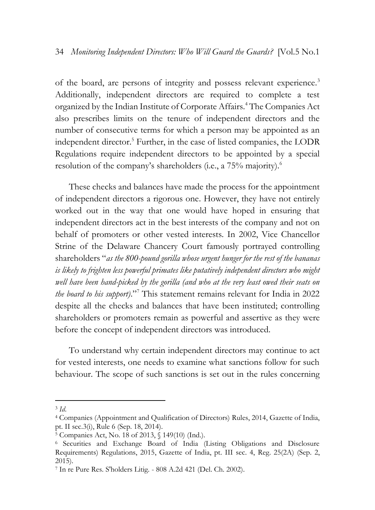of the board, are persons of integrity and possess relevant experience.<sup>3</sup> Additionally, independent directors are required to complete a test organized by the Indian Institute of Corporate Affairs.<sup>4</sup> The Companies Act also prescribes limits on the tenure of independent directors and the number of consecutive terms for which a person may be appointed as an independent director.<sup>5</sup> Further, in the case of listed companies, the LODR Regulations require independent directors to be appointed by a special resolution of the company's shareholders (i.e., a 75% majority).<sup>6</sup>

These checks and balances have made the process for the appointment of independent directors a rigorous one. However, they have not entirely worked out in the way that one would have hoped in ensuring that independent directors act in the best interests of the company and not on behalf of promoters or other vested interests. In 2002, Vice Chancellor Strine of the Delaware Chancery Court famously portrayed controlling shareholders "*as the 800-pound gorilla whose urgent hunger for the rest of the bananas is likely to frighten less powerful primates like putatively independent directors who might well have been hand-picked by the gorilla (and who at the very least owed their seats on the board to his support)*."<sup>7</sup> This statement remains relevant for India in 2022 despite all the checks and balances that have been instituted; controlling shareholders or promoters remain as powerful and assertive as they were before the concept of independent directors was introduced.

To understand why certain independent directors may continue to act for vested interests, one needs to examine what sanctions follow for such behaviour. The scope of such sanctions is set out in the rules concerning

<sup>-</sup>3 *Id*.

<sup>4</sup> [Companies \(Appointment and Qualification of Directors\) Rules,](https://www.mca.gov.in/content/mca/global/en/acts-rules/ebooks/acts.html?act=NTk2MQ==) 2014, Gazette of India, pt. II sec.3(i), Rule 6 (Sep. 18, 2014).

 $5 \text{ Companies}$  Act, No. 18 of 2013,  $\frac{1}{9}$  149(10) (Ind.).

<sup>6</sup> Securities and Exchange Board of India (Listing Obligations and Disclosure Requirements) Regulations, 2015, Gazette of India, pt. III sec. 4, Reg. 25(2A) (Sep. 2, 2015).

<sup>7</sup> In re Pure Res. S'holders Litig. - 808 A.2d 421 (Del. Ch. 2002).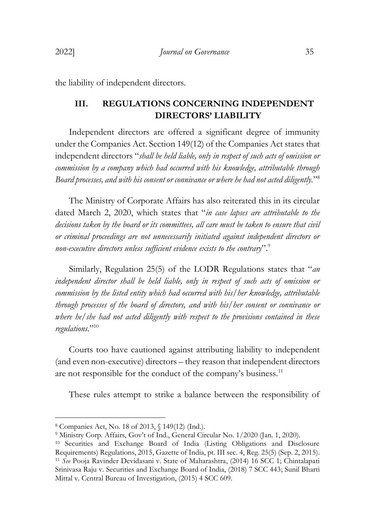<span id="page-6-0"></span>the liability of independent directors.

#### **III. REGULATIONS CONCERNING INDEPENDENT DIRECTORS' LIABILITY**

Independent directors are offered a significant degree of immunity under the Companies Act. Section 149(12) of the Companies Act states that independent directors "*shall be held liable, only in respect of such acts of omission or commission by a company which had occurred with his knowledge, attributable through Board processes, and with his consent or connivance or where he had not acted diligently.*" 8

The Ministry of Corporate Affairs has also reiterated this in its circular dated March 2, 2020, which states that "*in case lapses are attributable to the decisions taken by the board or its committees, all care must be taken to ensure that civil or criminal proceedings are not unnecessarily initiated against independent directors or non-executive directors unless sufficient evidence exists to the contrary*".<sup>9</sup>

Similarly, Regulation 25(5) of the LODR Regulations states that "*an independent director shall be held liable, only in respect of such acts of omission or commission by the listed entity which had occurred with his/her knowledge, attributable through processes of the board of directors, and with his/her consent or connivance or where he/she had not acted diligently with respect to the provisions contained in these regulations.*" 10

Courts too have cautioned against attributing liability to independent (and even non-executive) directors – they reason that independent directors are not responsible for the conduct of the company's business.<sup>11</sup>

These rules attempt to strike a balance between the responsibility of

<sup>8</sup> Companies Act, No. 18 of 2013, § 149(12) (Ind.).

<sup>&</sup>lt;sup>9</sup> Ministry Corp. Affairs, Gov't of Ind., General Circular No. 1/2020 (Jan. 1, 2020).

<sup>10</sup> Securities and Exchange Board of India (Listing Obligations and Disclosure Requirements) Regulations, 2015, Gazette of India, pt. III sec. 4, Reg. 25(5) (Sep. 2, 2015). <sup>11</sup> *See* Pooja Ravinder Devidasani v. State of Maharashtra, (2014) 16 SCC 1; Chintalapati Srinivasa Raju v. Securities and Exchange Board of India, (2018) 7 SCC 443; Sunil Bharti Mittal v. Central Bureau of Investigation, (2015) 4 SCC 609.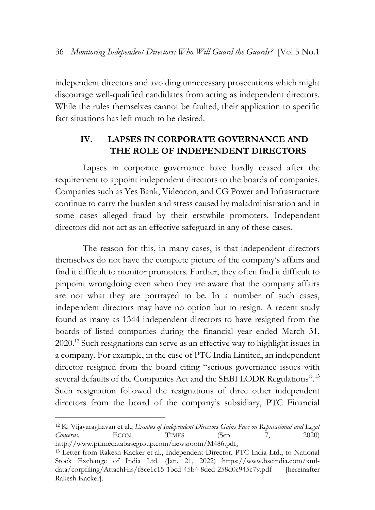independent directors and avoiding unnecessary prosecutions which might discourage well-qualified candidates from acting as independent directors. While the rules themselves cannot be faulted, their application to specific fact situations has left much to be desired.

## <span id="page-7-0"></span>**IV. LAPSES IN CORPORATE GOVERNANCE AND THE ROLE OF INDEPENDENT DIRECTORS**

Lapses in corporate governance have hardly ceased after the requirement to appoint independent directors to the boards of companies. Companies such as Yes Bank, Videocon, and CG Power and Infrastructure continue to carry the burden and stress caused by maladministration and in some cases alleged fraud by their erstwhile promoters. Independent directors did not act as an effective safeguard in any of these cases.

The reason for this, in many cases, is that independent directors themselves do not have the complete picture of the company's affairs and find it difficult to monitor promoters. Further, they often find it difficult to pinpoint wrongdoing even when they are aware that the company affairs are not what they are portrayed to be. In a number of such cases, independent directors may have no option but to resign. A recent study found as many as 1344 independent directors to have resigned from the boards of listed companies during the financial year ended March 31, 2020.<sup>12</sup> Such resignations can serve as an effective way to highlight issues in a company. For example, in the case of PTC India Limited, an independent director resigned from the board citing "serious governance issues with several defaults of the Companies Act and the SEBI LODR Regulations".<sup>13</sup> Such resignation followed the resignations of three other independent directors from the board of the company's subsidiary, PTC Financial

<sup>12</sup> K. Vijayaraghavan et al., *Exodus of Independent Directors Gains Pace on Reputational and Legal Concerns,* ECON. TIMES (Sep. 7, 2020) http://www.primedatabasegroup.com/newsroom/M486.pdf.

<sup>13</sup> Letter from Rakesh Kacker et al., Independent Director, PTC India Ltd., to National Stock Exchange of India Ltd. (Jan. 21, 2022) https://www.bseindia.com/xmldata/corpfiling/AttachHis/f8ce1c15-1bcd-45b4-8ded-258d0c945c79.pdf [hereinafter Rakesh Kacker].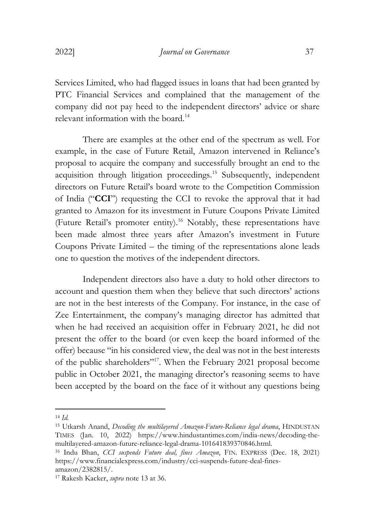Services Limited, who had flagged issues in loans that had been granted by PTC Financial Services and complained that the management of the company did not pay heed to the independent directors' advice or share relevant information with the board.<sup>14</sup>

There are examples at the other end of the spectrum as well. For example, in the case of Future Retail, Amazon intervened in Reliance's proposal to acquire the company and successfully brought an end to the acquisition through litigation proceedings.<sup>15</sup> Subsequently, independent directors on Future Retail's board wrote to the Competition Commission of India ("**CCI**") requesting the CCI to revoke the approval that it had granted to Amazon for its investment in Future Coupons Private Limited (Future Retail's promoter entity).<sup>16</sup> Notably, these representations have been made almost three years after Amazon's investment in Future Coupons Private Limited – the timing of the representations alone leads one to question the motives of the independent directors.

Independent directors also have a duty to hold other directors to account and question them when they believe that such directors' actions are not in the best interests of the Company. For instance, in the case of Zee Entertainment, the company's managing director has admitted that when he had received an acquisition offer in February 2021, he did not present the offer to the board (or even keep the board informed of the offer) because "in his considered view, the deal was not in the best interests of the public shareholders" <sup>17</sup>. When the February 2021 proposal become public in October 2021, the managing director's reasoning seems to have been accepted by the board on the face of it without any questions being

<sup>14</sup> *Id.*

<sup>15</sup> Utkarsh Anand, *Decoding the multilayered Amazon-Future-Reliance legal drama*, HINDUSTAN TIMES (Jan. 10, 2022) https://www.hindustantimes.com/india-news/decoding-themultilayered-amazon-future-reliance-legal-drama-101641839370846.html.

<sup>16</sup> Indu Bhan, *CCI suspends Future deal, fines Amazon*, FIN. EXPRESS (Dec. 18, 2021) https://www.financialexpress.com/industry/cci-suspends-future-deal-finesamazon/2382815/.

<sup>17</sup> Rakesh Kacker, *supra* note 13 at 36.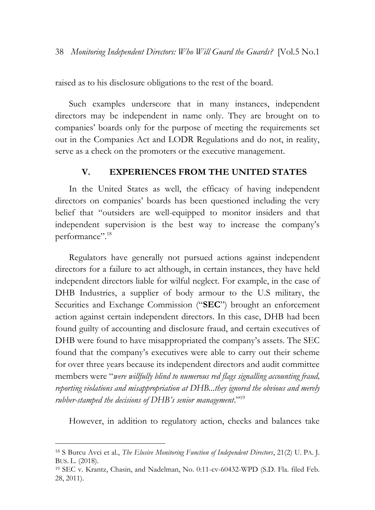raised as to his disclosure obligations to the rest of the board.

Such examples underscore that in many instances, independent directors may be independent in name only. They are brought on to companies' boards only for the purpose of meeting the requirements set out in the Companies Act and LODR Regulations and do not, in reality, serve as a check on the promoters or the executive management.

#### **V. EXPERIENCES FROM THE UNITED STATES**

<span id="page-9-0"></span>In the United States as well, the efficacy of having independent directors on companies' boards has been questioned including the very belief that "outsiders are well-equipped to monitor insiders and that independent supervision is the best way to increase the company's performance". 18

Regulators have generally not pursued actions against independent directors for a failure to act although, in certain instances, they have held independent directors liable for wilful neglect. For example, in the case of DHB Industries, a supplier of body armour to the U.S military, the Securities and Exchange Commission ("**SEC**") brought an enforcement action against certain independent directors. In this case, DHB had been found guilty of accounting and disclosure fraud, and certain executives of DHB were found to have misappropriated the company's assets. The SEC found that the company's executives were able to carry out their scheme for over three years because its independent directors and audit committee members were "*were willfully blind to numerous red flags signalling accounting fraud, reporting violations and misappropriation at DHB...they ignored the obvious and merely rubber-stamped the decisions of DHB's senior management*."<sup>19</sup>

However, in addition to regulatory action, checks and balances take

<sup>18</sup> S Burcu Avci et al., *The Elusive Monitoring Function of Independent Directors*, 21(2) U. PA. J. BUS. L. (2018).

<sup>19</sup> SEC v. Krantz, Chasin, and Nadelman, No. 0:11-cv-60432-WPD (S.D. Fla. filed Feb. 28, 2011).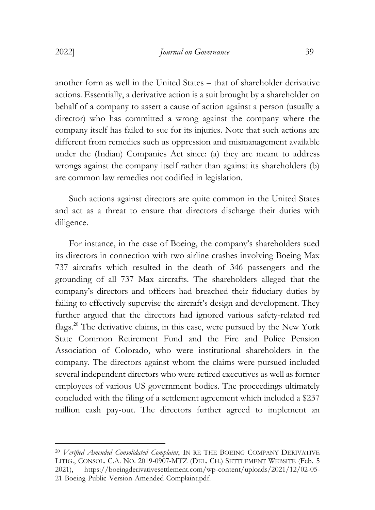another form as well in the United States – that of shareholder derivative actions. Essentially, a derivative action is a suit brought by a shareholder on behalf of a company to assert a cause of action against a person (usually a director) who has committed a wrong against the company where the company itself has failed to sue for its injuries. Note that such actions are different from remedies such as oppression and mismanagement available under the (Indian) Companies Act since: (a) they are meant to address wrongs against the company itself rather than against its shareholders (b) are common law remedies not codified in legislation.

Such actions against directors are quite common in the United States and act as a threat to ensure that directors discharge their duties with diligence.

For instance, in the case of Boeing, the company's shareholders sued its directors in connection with two airline crashes involving Boeing Max 737 aircrafts which resulted in the death of 346 passengers and the grounding of all 737 Max aircrafts. The shareholders alleged that the company's directors and officers had breached their fiduciary duties by failing to effectively supervise the aircraft's design and development. They further argued that the directors had ignored various safety-related red flags.<sup>20</sup> The derivative claims, in this case, were pursued by the New York State Common Retirement Fund and the Fire and Police Pension Association of Colorado, who were institutional shareholders in the company. The directors against whom the claims were pursued included several independent directors who were retired executives as well as former employees of various US government bodies. The proceedings ultimately concluded with the filing of a settlement agreement which included a \$237 million cash pay-out. The directors further agreed to implement an

<sup>20</sup> *Verified Amended Consolidated Complaint*, IN RE THE BOEING COMPANY DERIVATIVE LITIG., CONSOL. C.A. NO. 2019-0907-MTZ (DEL. CH.) SETTLEMENT WEBSITE (Feb. 5 2021), https://boeingderivativesettlement.com/wp-content/uploads/2021/12/02-05- 21-Boeing-Public-Version-Amended-Complaint.pdf.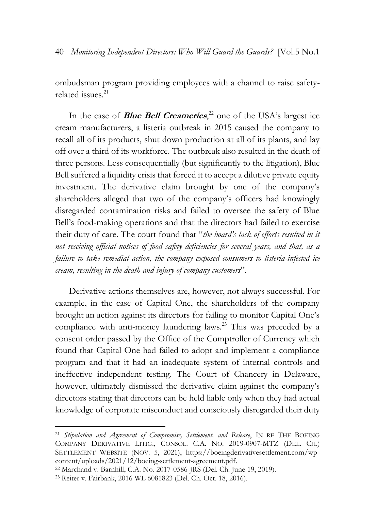ombudsman program providing employees with a channel to raise safetyrelated issues.<sup>21</sup>

In the case of **Blue Bell Creameries**, <sup>22</sup> one of the USA's largest ice cream manufacturers, a listeria outbreak in 2015 caused the company to recall all of its products, shut down production at all of its plants, and lay off over a third of its workforce. The outbreak also resulted in the death of three persons. Less consequentially (but significantly to the litigation), Blue Bell suffered a liquidity crisis that forced it to accept a dilutive private equity investment. The derivative claim brought by one of the company's shareholders alleged that two of the company's officers had knowingly disregarded contamination risks and failed to oversee the safety of Blue Bell's food-making operations and that the directors had failed to exercise their duty of care. The court found that "*the board's lack of efforts resulted in it not receiving official notices of food safety deficiencies for several years, and that, as a failure to take remedial action, the company exposed consumers to listeria-infected ice cream, resulting in the death and injury of company customers*".

Derivative actions themselves are, however, not always successful. For example, in the case of Capital One, the shareholders of the company brought an action against its directors for failing to monitor Capital One's compliance with anti-money laundering laws.<sup>23</sup> This was preceded by a consent order passed by the Office of the Comptroller of Currency which found that Capital One had failed to adopt and implement a compliance program and that it had an inadequate system of internal controls and ineffective independent testing. The Court of Chancery in Delaware, however, ultimately dismissed the derivative claim against the company's directors stating that directors can be held liable only when they had actual knowledge of corporate misconduct and consciously disregarded their duty

<sup>21</sup> *Stipulation and Agreement of Compromise, Settlement, and Release*, IN RE THE BOEING COMPANY DERIVATIVE LITIG., CONSOL. C.A. NO. 2019-0907-MTZ (DEL. CH.) SETTLEMENT WEBSITE (NOV. 5, 2021), https://boeingderivativesettlement.com/wpcontent/uploads/2021/12/boeing-settlement-agreement.pdf.

<sup>22</sup> Marchand v. Barnhill, C.A. No. 2017-0586-JRS (Del. Ch. June 19, 2019).

<sup>23</sup> Reiter v. Fairbank, 2016 WL 6081823 (Del. Ch. Oct. 18, 2016).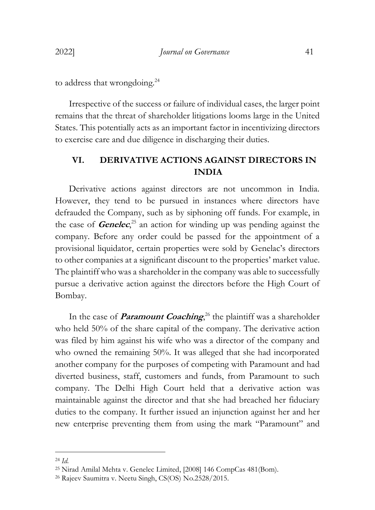to address that wrongdoing.<sup>24</sup>

Irrespective of the success or failure of individual cases, the larger point remains that the threat of shareholder litigations looms large in the United States. This potentially acts as an important factor in incentivizing directors to exercise care and due diligence in discharging their duties.

## <span id="page-12-0"></span>**VI. DERIVATIVE ACTIONS AGAINST DIRECTORS IN INDIA**

Derivative actions against directors are not uncommon in India. However, they tend to be pursued in instances where directors have defrauded the Company, such as by siphoning off funds. For example, in the case of **Genelec**, <sup>25</sup> an action for winding up was pending against the company. Before any order could be passed for the appointment of a provisional liquidator, certain properties were sold by Genelac's directors to other companies at a significant discount to the properties' market value. The plaintiff who was a shareholder in the company was able to successfully pursue a derivative action against the directors before the High Court of Bombay.

In the case of *Paramount Coaching*,<sup>26</sup> the plaintiff was a shareholder who held 50% of the share capital of the company. The derivative action was filed by him against his wife who was a director of the company and who owned the remaining 50%. It was alleged that she had incorporated another company for the purposes of competing with Paramount and had diverted business, staff, customers and funds, from Paramount to such company. The Delhi High Court held that a derivative action was maintainable against the director and that she had breached her fiduciary duties to the company. It further issued an injunction against her and her new enterprise preventing them from using the mark "Paramount" and

<sup>24</sup> *Id.*

<sup>25</sup> Nirad Amilal Mehta v. Genelec Limited, [2008] 146 CompCas 481(Bom).

<sup>26</sup> Rajeev Saumitra v. Neetu Singh, CS(OS) No.2528/2015.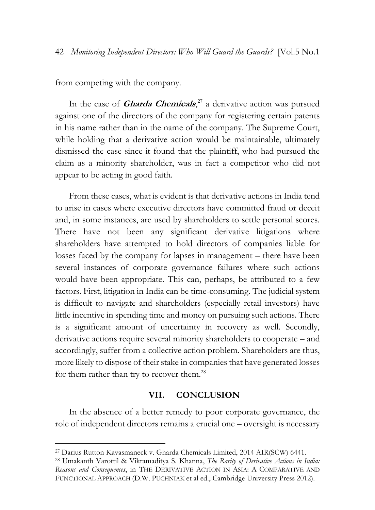from competing with the company.

In the case of **Gharda Chemicals**, <sup>27</sup> a derivative action was pursued against one of the directors of the company for registering certain patents in his name rather than in the name of the company. The Supreme Court, while holding that a derivative action would be maintainable, ultimately dismissed the case since it found that the plaintiff, who had pursued the claim as a minority shareholder, was in fact a competitor who did not appear to be acting in good faith.

From these cases, what is evident is that derivative actions in India tend to arise in cases where executive directors have committed fraud or deceit and, in some instances, are used by shareholders to settle personal scores. There have not been any significant derivative litigations where shareholders have attempted to hold directors of companies liable for losses faced by the company for lapses in management – there have been several instances of corporate governance failures where such actions would have been appropriate. This can, perhaps, be attributed to a few factors. First, litigation in India can be time-consuming. The judicial system is difficult to navigate and shareholders (especially retail investors) have little incentive in spending time and money on pursuing such actions. There is a significant amount of uncertainty in recovery as well. Secondly, derivative actions require several minority shareholders to cooperate – and accordingly, suffer from a collective action problem. Shareholders are thus, more likely to dispose of their stake in companies that have generated losses for them rather than try to recover them.<sup>28</sup>

#### **VII. CONCLUSION**

<span id="page-13-0"></span>In the absence of a better remedy to poor corporate governance, the role of independent directors remains a crucial one – oversight is necessary

<sup>27</sup> Darius Rutton Kavasmaneck v. Gharda Chemicals Limited, 2014 AIR(SCW) 6441.

<sup>28</sup> Umakanth Varottil & Vikramaditya S. Khanna, *The Rarity of Derivative Actions in India: Reasons and Consequences*, in THE DERIVATIVE ACTION IN ASIA: A COMPARATIVE AND FUNCTIONAL APPROACH (D.W. PUCHNIAK et al ed., Cambridge University Press 2012).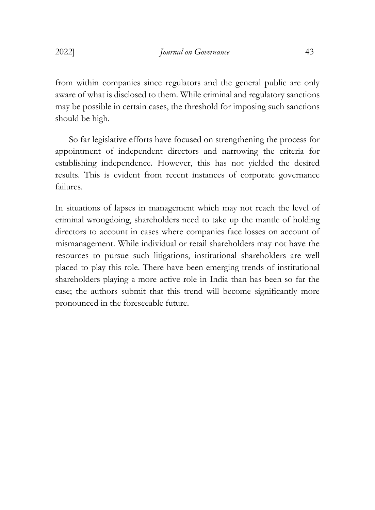from within companies since regulators and the general public are only aware of what is disclosed to them. While criminal and regulatory sanctions may be possible in certain cases, the threshold for imposing such sanctions should be high.

So far legislative efforts have focused on strengthening the process for appointment of independent directors and narrowing the criteria for establishing independence. However, this has not yielded the desired results. This is evident from recent instances of corporate governance failures.

In situations of lapses in management which may not reach the level of criminal wrongdoing, shareholders need to take up the mantle of holding directors to account in cases where companies face losses on account of mismanagement. While individual or retail shareholders may not have the resources to pursue such litigations, institutional shareholders are well placed to play this role. There have been emerging trends of institutional shareholders playing a more active role in India than has been so far the case; the authors submit that this trend will become significantly more pronounced in the foreseeable future.